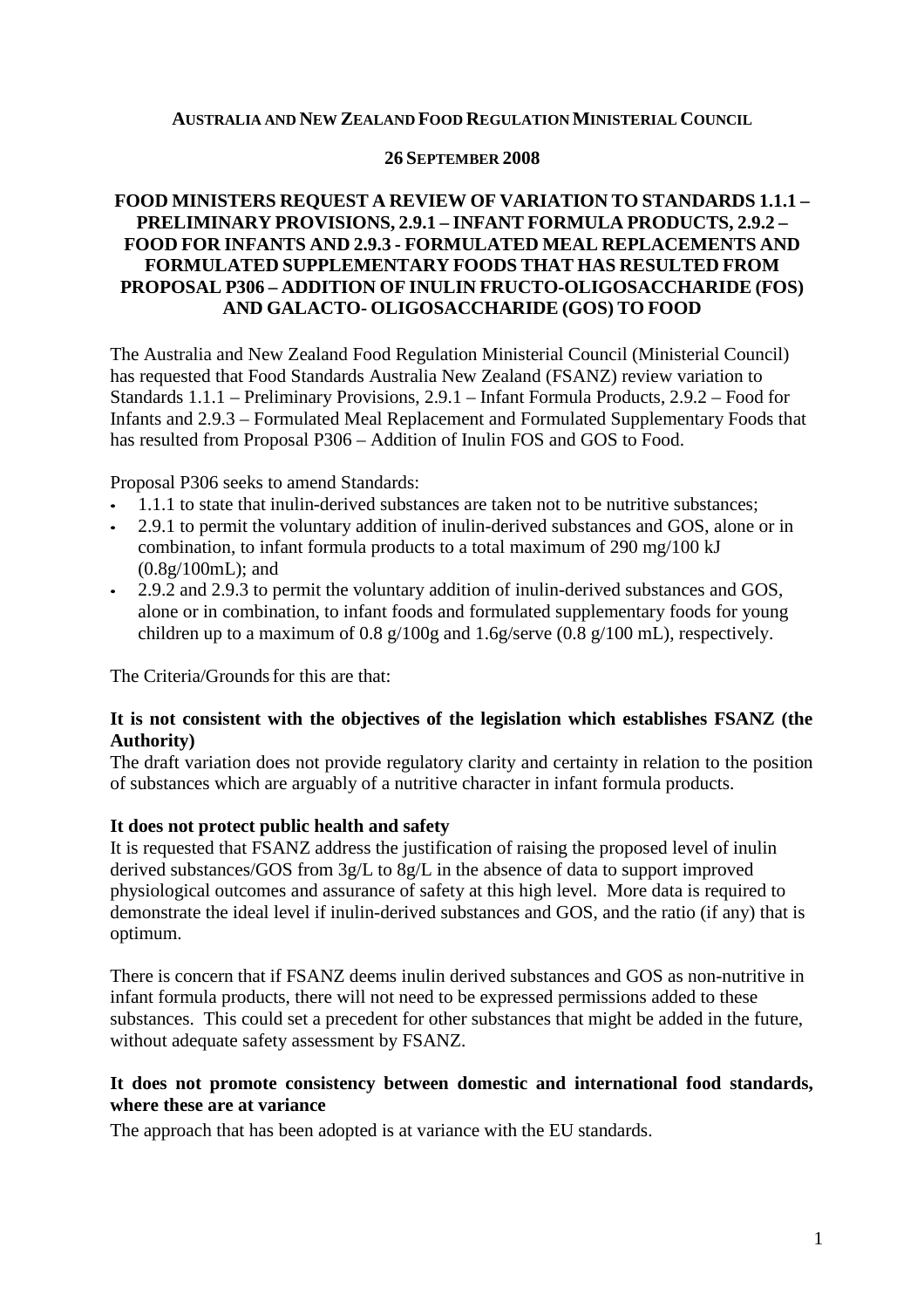#### **AUSTRALIA AND NEW ZEALAND FOOD REGULATION MINISTERIAL COUNCIL**

#### **26 SEPTEMBER 2008**

## **FOOD MINISTERS REQUEST A REVIEW OF VARIATION TO STANDARDS 1.1.1 – PRELIMINARY PROVISIONS, 2.9.1 – INFANT FORMULA PRODUCTS, 2.9.2 – FOOD FOR INFANTS AND 2.9.3 - FORMULATED MEAL REPLACEMENTS AND FORMULATED SUPPLEMENTARY FOODS THAT HAS RESULTED FROM PROPOSAL P306 – ADDITION OF INULIN FRUCTO-OLIGOSACCHARIDE (FOS) AND GALACTO- OLIGOSACCHARIDE (GOS) TO FOOD**

The Australia and New Zealand Food Regulation Ministerial Council (Ministerial Council) has requested that Food Standards Australia New Zealand (FSANZ) review variation to Standards 1.1.1 – Preliminary Provisions, 2.9.1 – Infant Formula Products, 2.9.2 – Food for Infants and 2.9.3 – Formulated Meal Replacement and Formulated Supplementary Foods that has resulted from Proposal P306 – Addition of Inulin FOS and GOS to Food.

Proposal P306 seeks to amend Standards:

- 1.1.1 to state that inulin-derived substances are taken not to be nutritive substances;
- 2.9.1 to permit the voluntary addition of inulin-derived substances and GOS, alone or in combination, to infant formula products to a total maximum of 290 mg/100 kJ (0.8g/100mL); and
- 2.9.2 and 2.9.3 to permit the voluntary addition of inulin-derived substances and GOS, alone or in combination, to infant foods and formulated supplementary foods for young children up to a maximum of 0.8 g/100g and 1.6g/serve (0.8 g/100 mL), respectively.

The Criteria/Grounds for this are that:

## **It is not consistent with the objectives of the legislation which establishes FSANZ (the Authority)**

The draft variation does not provide regulatory clarity and certainty in relation to the position of substances which are arguably of a nutritive character in infant formula products.

## **It does not protect public health and safety**

It is requested that FSANZ address the justification of raising the proposed level of inulin derived substances/GOS from 3g/L to 8g/L in the absence of data to support improved physiological outcomes and assurance of safety at this high level. More data is required to demonstrate the ideal level if inulin-derived substances and GOS, and the ratio (if any) that is optimum.

There is concern that if FSANZ deems inulin derived substances and GOS as non-nutritive in infant formula products, there will not need to be expressed permissions added to these substances. This could set a precedent for other substances that might be added in the future, without adequate safety assessment by FSANZ.

## **It does not promote consistency between domestic and international food standards, where these are at variance**

The approach that has been adopted is at variance with the EU standards.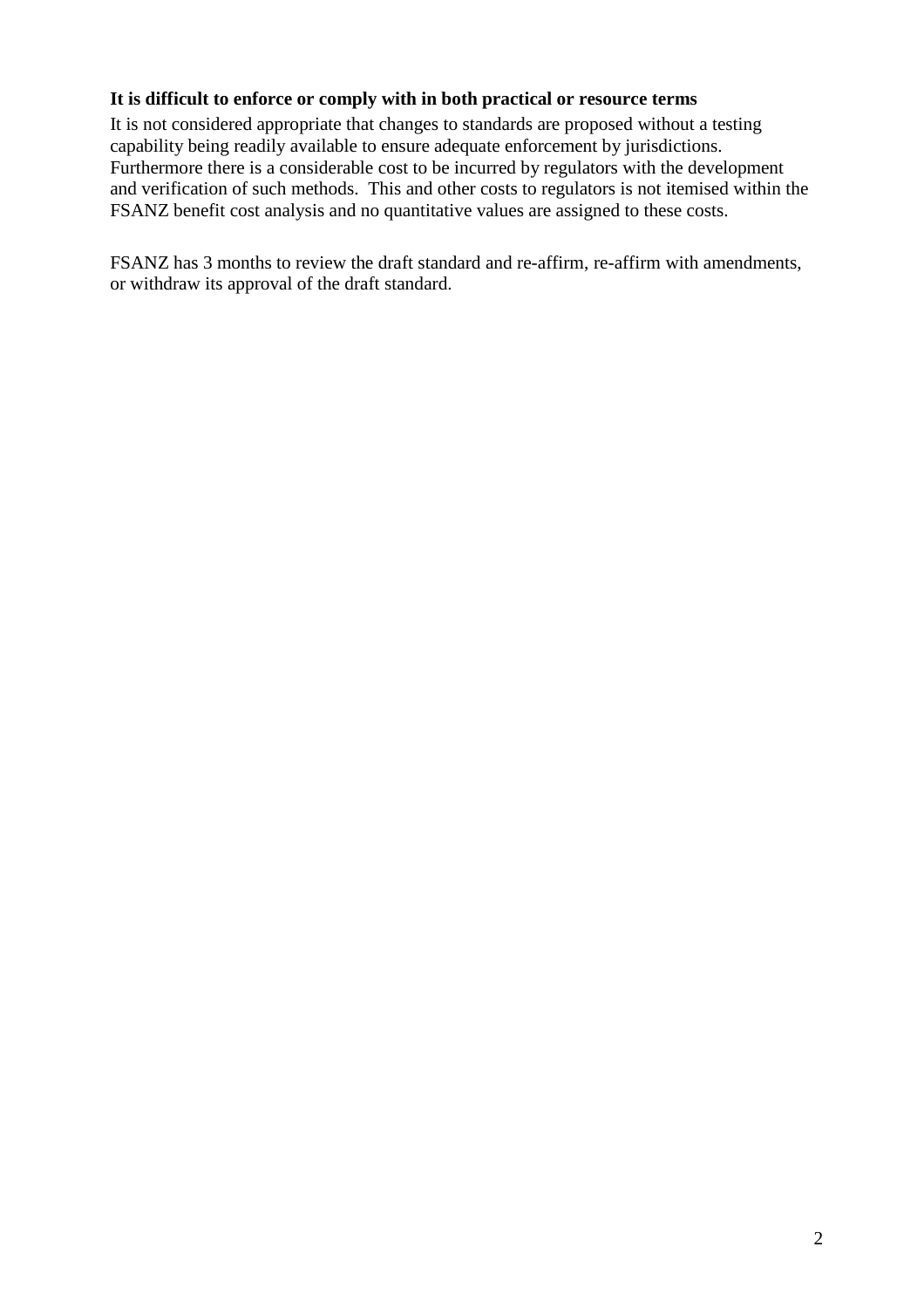# **It is difficult to enforce or comply with in both practical or resource terms**

It is not considered appropriate that changes to standards are proposed without a testing capability being readily available to ensure adequate enforcement by jurisdictions. Furthermore there is a considerable cost to be incurred by regulators with the development and verification of such methods. This and other costs to regulators is not itemised within the FSANZ benefit cost analysis and no quantitative values are assigned to these costs.

FSANZ has 3 months to review the draft standard and re-affirm, re-affirm with amendments, or withdraw its approval of the draft standard.